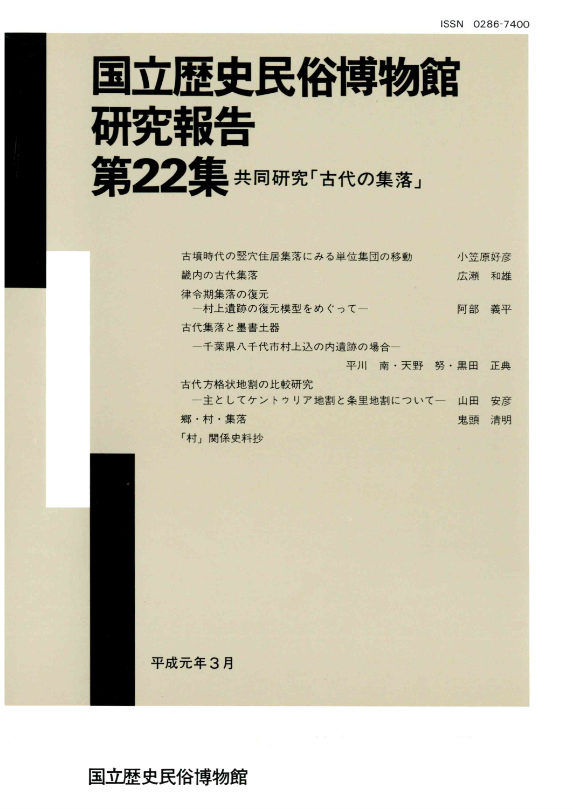# 国立歴史民俗博物館 研究報告 第22集共同研究「古代の集落」

| 古墳時代の竪穴住居集落にみる単位集団の移動        | 小笠原好彦 |    |
|------------------------------|-------|----|
| 畿内の古代集落                      | 広瀬    | 和雄 |
| 律令期集落の復元<br>一村上遺跡の復元模型をめぐって一 | 阿部    | 義平 |
| 古代集落と墨書土器                    |       |    |
| 一千葉県八千代市村上込の内遺跡の場合―          |       |    |
| 平川 南・天野 努・黒田                 |       | 正典 |
| 古代方格状地割の比較研究                 |       |    |
| 一主としてケントゥリア地割と条里地割についてー      | 山田    | 安彦 |
| 郷・村・集落                       | 鬼頭    | 清明 |
| 「村」関係史料抄                     |       |    |
|                              |       |    |

平成元年3月

国立歴史民俗博物館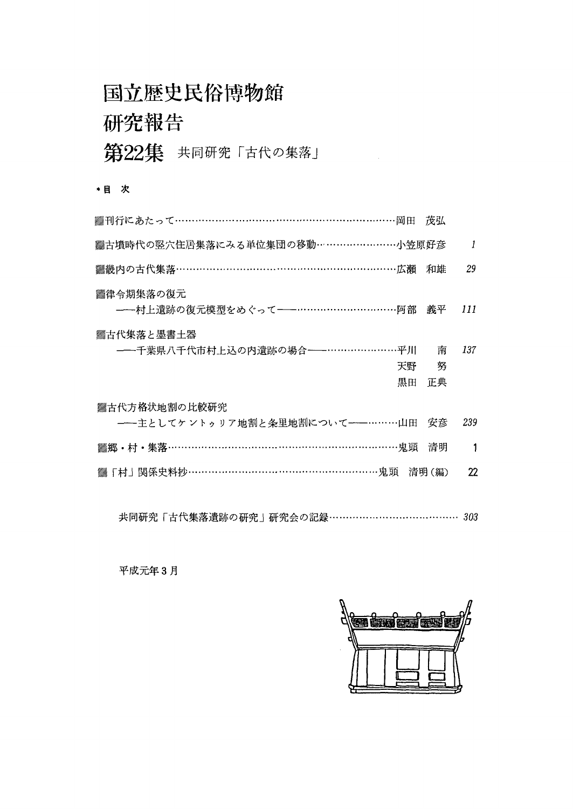### 国立歴史民俗博物館

### 研究報告

第22集 共同研究「古代の集落」

#### \*目 次

| ▓刊行にあたって………………………………………………………岡田                                       | 茂弘     |     |
|-----------------------------------------------------------------------|--------|-----|
| ▓古墳時代の竪穴住居集落にみる単位集団の移動……………………小笠原好彦                                   |        | 1   |
| ▓畿内の古代集落………………………………………………………広瀬                                       | 和雄     | 29  |
| ▓律令期集落の復元<br>---村上遺跡の復元模型をめぐって----------------------------------阿部 義平 |        | 111 |
| ▓古代集落と墨書土器<br>---千葉県八千代市村上込の内遺跡の場合----…………………平川<br>天野                 | 南<br>努 | 137 |
| 黒田                                                                    | 正典     |     |
| ▓古代方格状地割の比較研究                                                         |        |     |
| ---主としてケントゥリア地割と条里地割について----………山田 安彦                                  |        | 239 |
| ▓郷 • 村 • 集落…………………………………………………………鬼頭                                   | 清明     | 1   |
| 「村」関係史料抄…………………………………………………鬼頭 清明(編)                                   |        | 22  |
|                                                                       |        |     |
|                                                                       |        |     |

共同研究「古代集落遺跡の研究」研究会の記録…・・……… 303

平成元年3月

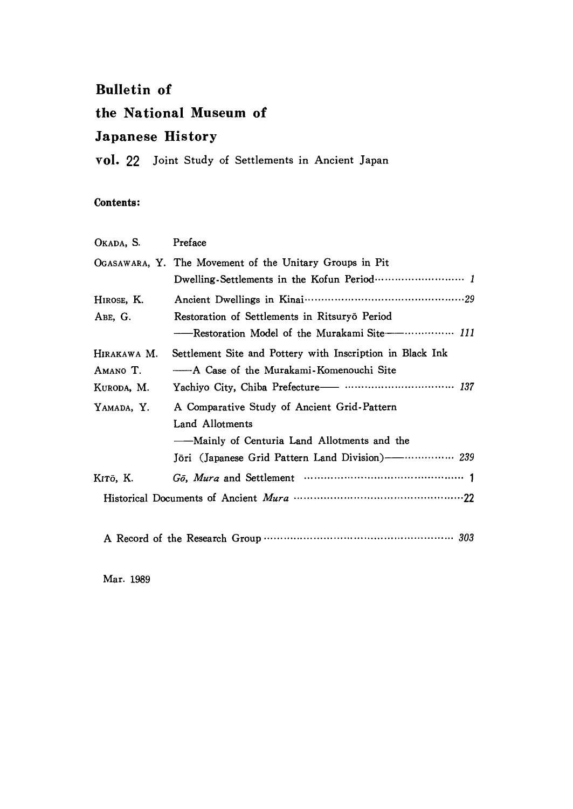#### Bulletin of

#### the National Museum of

#### Japanese History

vol. 22 Joint Study of Settlements in Ancient Japan

#### Contents:

| OKADA, S.                             | Preface                                                                                                                                                                             |
|---------------------------------------|-------------------------------------------------------------------------------------------------------------------------------------------------------------------------------------|
|                                       | OGASAWARA, Y. The Movement of the Unitary Groups in Pit                                                                                                                             |
| HIROSE, K.<br>ABE, G.                 | Restoration of Settlements in Ritsuryō Period<br>-Restoration Model of the Murakami Site ----------------- 111                                                                      |
| Hirakawa M.<br>Amano T.<br>KURODA, M. | Settlement Site and Pottery with Inscription in Black Ink<br>— A Case of the Murakami-Komenouchi Site                                                                               |
| YAMADA, Y.                            | A Comparative Study of Ancient Grid-Pattern<br>Land Allotments<br>——Mainly of Centuria Land Allotments and the<br>Jöri (Japanese Grid Pattern Land Division) ------------------ 239 |
| Kıtō, K.                              |                                                                                                                                                                                     |

ARecord of the Research Group………………………・・………・………………303

Mar. 1989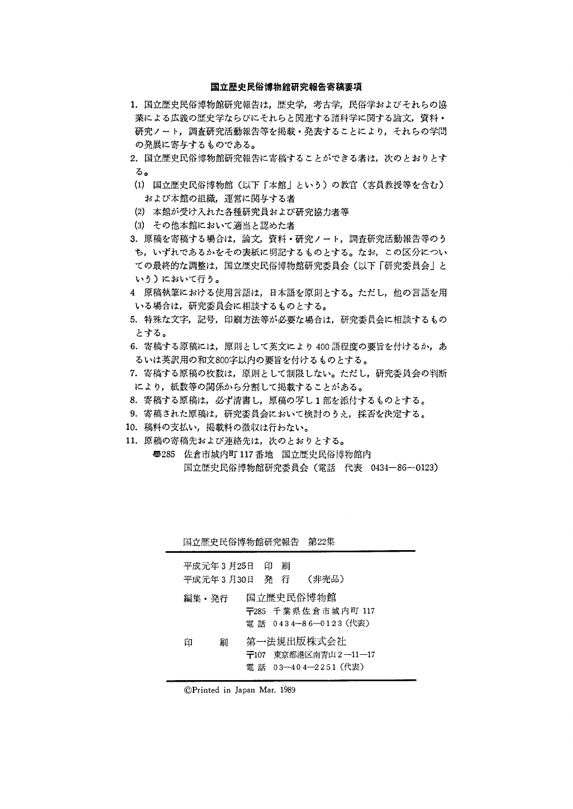#### 国立歴史民俗博物館研究報告寄稿要項

- 1. 国立歴史民俗博物館研究報告は、歴史学,考古学,民俗学およびそれらの協 業による広義の歴史学ならびにそれらと関連する諸科学に関する論文,資料・ 研究ノート,調査研究活動報告等を掲載・発表することにより,それらの学問 の発展に寄与するものである。
- 2. 国立歴史民俗博物館研究報告に寄稿することができる者は、次のとおりとす る。
- (1)国立歴史民俗博物館(以下「本館」という)の教官(客員教授等を含む) および本館の組織,運営に関与する者
- (2)本館が受け入れた各種研究員および研究協力者等
- (3)その他本館において適当と認めた者
- 3.原稿を寄稿する場合は,論文,資料・研究ノート,調査研究活動報告等のう ち,いずれであるかをその表紙に明記するものとする。なお,この区分につい ての最終的な調整は,国立歴史民俗博物館研究委員会(以下「研究委員会」と いう)において行う。
- 4 原稿執筆における使用言語は,日本語を原則とする。ただし,他の言語を用 いる場合は,研究委員会に相談するものとする。
- 5.特殊な文字,記号,印刷方法等が必要な場合は,研究委員会に相談するもの とする。
- 6. 寄稿する原稿には、原則として英文により400語程度の要旨を付けるか、あ るいは英訳用の和文800字以内の要旨を付けるものとする。
- 7.寄稿する原稿の枚数は,原則として制限しない。ただし,研究委員会の判断 により,紙数等の関係から分割して掲載することがある。
- 8.寄稿する原稿は,必ず清書し,原稿の写し1部を添付するものとする。
- 9.寄稿された原稿は,研究委員会において検討のうえ,採否を決定する。
- 10.稿料の支払い,掲載料の徴収は行わない。
- 11.原稿の寄稿先および連絡先は,次のとおりとする。
	- ●285 佐倉市城内町117番地 国立歴史民俗博物館内 国立歴史民俗博物館研究委員会(電話 代表 0434-86-0123)

|       |   |                              |    | 国立歴史民俗博物館研究報告 第22集                                        |  |
|-------|---|------------------------------|----|-----------------------------------------------------------|--|
|       |   | 平成元年3月25日 印<br>平成元年3月30日 発 行 | 吊川 | (非売品)                                                     |  |
| 編集・発行 |   |                              |    | 国立歴史民俗博物館<br>〒285 千葉県佐倉市城内町 117<br>電話 0434-86-0123 (代表)   |  |
| 印     | 刷 |                              |    | 第一法規出版株式会社<br>〒107 東京都港区南青山2―11―17<br>電話 03-404-2251 (代表) |  |

⑥Printed in Japan Mar.1989